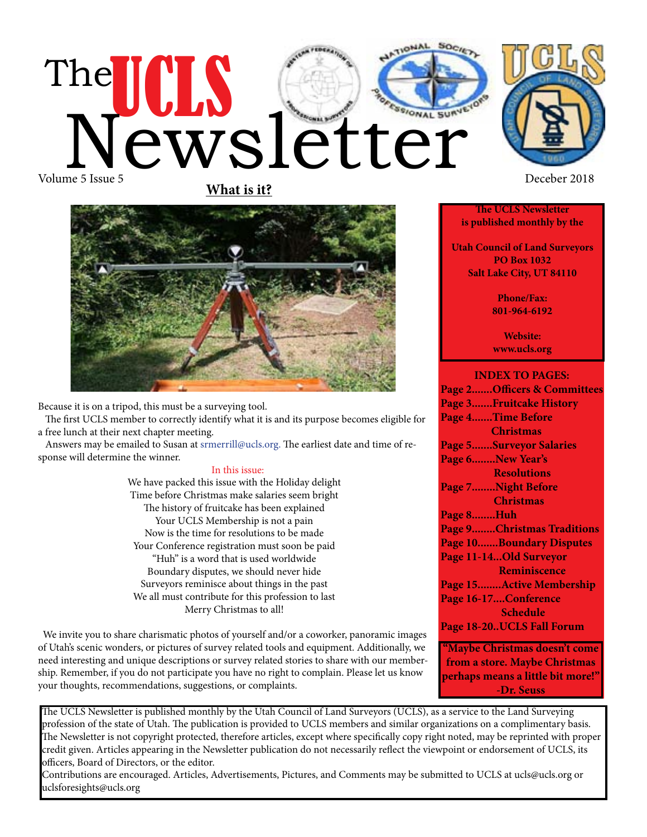# ewsletter The JULS Volume 5 Issue 5 Deceber 2018





Because it is on a tripod, this must be a surveying tool.

 The first UCLS member to correctly identify what it is and its purpose becomes eligible for a free lunch at their next chapter meeting.

 Answers may be emailed to Susan at srmerrill@ucls.org. The earliest date and time of response will determine the winner.

#### In this issue:

We have packed this issue with the Holiday delight Time before Christmas make salaries seem bright The history of fruitcake has been explained Your UCLS Membership is not a pain Now is the time for resolutions to be made Your Conference registration must soon be paid "Huh" is a word that is used worldwide Boundary disputes, we should never hide Surveyors reminisce about things in the past We all must contribute for this profession to last Merry Christmas to all!

 We invite you to share charismatic photos of yourself and/or a coworker, panoramic images of Utah's scenic wonders, or pictures of survey related tools and equipment. Additionally, we need interesting and unique descriptions or survey related stories to share with our membership. Remember, if you do not participate you have no right to complain. Please let us know your thoughts, recommendations, suggestions, or complaints.

**The UCLS Newsletter is published monthly by the**

**Utah Council of Land Surveyors PO Box 1032 Salt Lake City, UT 84110**

> **Phone/Fax: 801-964-6192**

**Website: www.ucls.org**

#### **INDEX TO PAGES:**

**Page 2.......Officers & Committees Page 3.......Fruitcake History Page 4.......Time Before Christmas Page 5.......Surveyor Salaries Page 6........New Year's Resolutions Page 7........Night Before Christmas Page 8........Huh Page 9........Christmas Traditions Page 10.......Boundary Disputes Page 11-14...Old Surveyor Reminiscence Page 15........Active Membership Page 16-17....Conference Schedule Page 18-20..UCLS Fall Forum "Maybe Christmas doesn't come** 

**from a store. Maybe Christmas perhaps means a little bit more!" -Dr. Seuss**

The UCLS Newsletter is published monthly by the Utah Council of Land Surveyors (UCLS), as a service to the Land Surveying profession of the state of Utah. The publication is provided to UCLS members and similar organizations on a complimentary basis. The Newsletter is not copyright protected, therefore articles, except where specifically copy right noted, may be reprinted with proper credit given. Articles appearing in the Newsletter publication do not necessarily reflect the viewpoint or endorsement of UCLS, its officers, Board of Directors, or the editor.

Contributions are encouraged. Articles, Advertisements, Pictures, and Comments may be submitted to UCLS at ucls@ucls.org or uclsforesights@ucls.org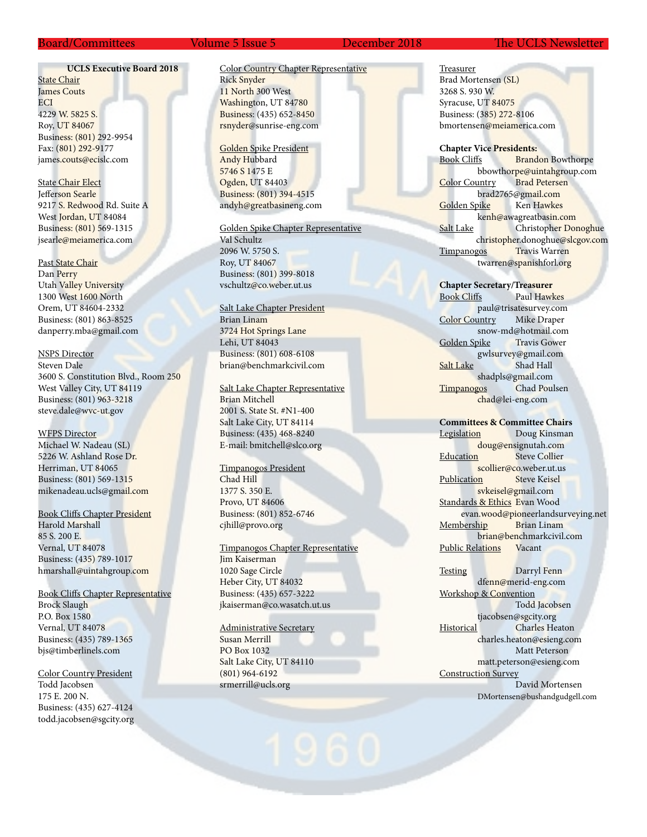#### **UCLS Executive Board 2018**

State Chair James Couts **ECI** 4229 W. 5825 S. Roy, UT 84067 Business: (801) 292-9954 Fax: (801) 292-9177 james.couts@ecislc.com

State Chair Elect Jefferson Searle 9217 S. Redwood Rd. Suite A West Jordan, UT 84084 Business: (801) 569-1315 jsearle@meiamerica.com

#### Past State Chair Dan Perry Utah Valley University 1300 West 1600 North Orem, UT 84604-2332 Business: (801) 863-8525 danperry.mba@gmail.com

#### NSPS Director Steven Dale 3600 S. Constitution Blvd., Room 250 West Valley City, UT 84119 Business: (801) 963-3218 steve.dale@wvc-ut.gov

WFPS Director Michael W. Nadeau (SL) 5226 W. Ashland Rose Dr. Herriman, UT 84065 Business: (801) 569-1315 mikenadeau.ucls@gmail.com

Book Cliffs Chapter President Harold Marshall 85 S. 200 E. Vernal, UT 84078 Business: (435) 789-1017 hmarshall@uintahgroup.com

Book Cliffs Chapter Representative Brock Slaugh P.O. Box 1580 Vernal, UT 84078 Business: (435) 789-1365 bjs@timberlinels.com

#### Color Country President

Todd Jacobsen 175 E. 200 N. Business: (435) 627-4124 todd.jacobsen@sgcity.org

Color Country Chapter Representative Rick Snyder 11 North 300 West Washington, UT 84780 Business: (435) 652-8450 rsnyder@sunrise-eng.com

Golden Spike President Andy Hubbard 5746 S 1475 E Ogden, UT 84403 Business: (801) 394-4515 andyh@greatbasineng.com

Golden Spike Chapter Representative Val Schultz 2096 W. 5750 S. Roy, UT 84067 Business: (801) 399-8018 vschultz@co.weber.ut.us

#### Salt Lake Chapter President

Brian Linam 3724 Hot Springs Lane Lehi, UT 84043 Business: (801) 608-6108 brian@benchmarkcivil.com

#### Salt Lake Chapter Representative

Brian Mitchell 2001 S. State St. #N1-400 Salt Lake City, UT 84114 Business: (435) 468-8240 E-mail: bmitchell@slco.org

Timpanogos President Chad Hill 1377 S. 350 E. Provo, UT 84606 Business: (801) 852-6746 cjhill@provo.org

#### Timpanogos Chapter Representative

Jim Kaiserman 1020 Sage Circle Heber City, UT 84032 Business: (435) 657-3222 jkaiserman@co.wasatch.ut.us

Administrative Secretary Susan Merrill PO Box 1032 Salt Lake City, UT 84110 (801) 964-6192 srmerrill@ucls.org

#### Board/Committees Volume 5 Issue 5 December 2018 The UCLS Newsletter

Treasurer Brad Mortensen (SL) 3268 S. 930 W. Syracuse, UT 84075 Business: (385) 272-8106 bmortensen@meiamerica.com

**Chapter Vice Presidents:** Book Cliffs Brandon Bowthorpe bbowthorpe@uintahgroup.com<br>untry Brad Petersen Color Country brad2765@gmail.com Golden Spike Ken Hawkes kenh@awagreatbasin.com Salt Lake Christopher Donoghue christopher.donoghue@slcgov.com Timpanogos Travis Warren twarren@spanishforl.org

**Chapter Secretary/Treasurer** Paul Hawkes

paul@trisatesurvey.com Color Country Mike Draper snow-md@hotmail.com<br>
vike Travis Gower Golden Spike gwlsurvey@gmail.com Salt Lake Shad Hall shadpls@gmail.com Timpanogos Chad Poulsen chad@lei-eng.com

**Committees & Committee Chairs** Legislation Doug Kinsman doug@ensignutah.com Education Steve Collier scollier@co.weber.ut.us Publication Steve Keisel svkeisel@gmail.com Standards & Ethics Evan Wood evan.wood@pioneerlandsurveying.net<br>bership Brian Linam Membership brian@benchmarkcivil.com Public Relations Vacant

Testing Darryl Fenn dfenn@merid-eng.com Workshop & Convention Todd Jacobsen tjacobsen@sgcity.org Historical Charles Heaton charles.heaton@esieng.com Matt Peterson matt.peterson@esieng.com Construction Survey David Mortensen DMortensen@bushandgudgell.com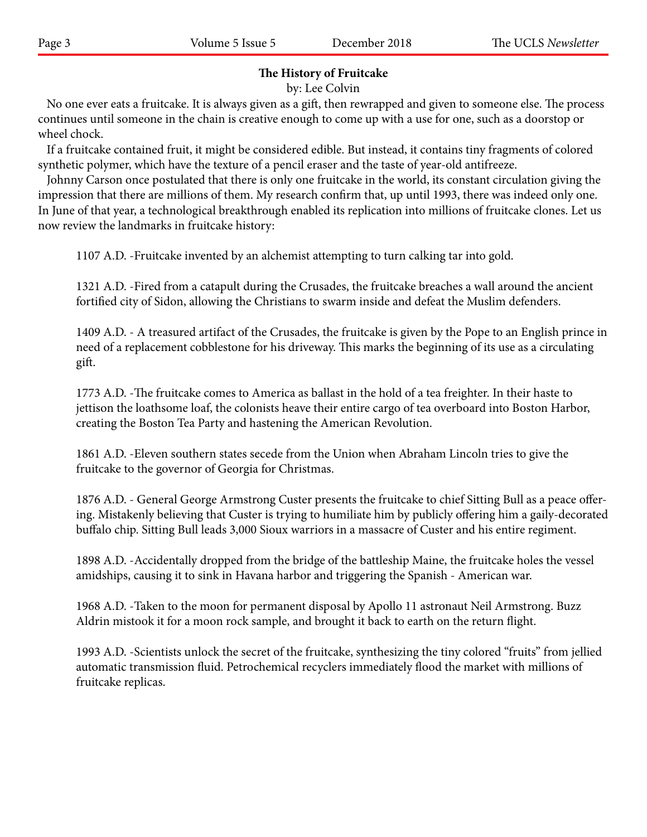### **The History of Fruitcake**

#### by: Lee Colvin

 No one ever eats a fruitcake. It is always given as a gift, then rewrapped and given to someone else. The process continues until someone in the chain is creative enough to come up with a use for one, such as a doorstop or wheel chock.

 If a fruitcake contained fruit, it might be considered edible. But instead, it contains tiny fragments of colored synthetic polymer, which have the texture of a pencil eraser and the taste of year-old antifreeze.

 Johnny Carson once postulated that there is only one fruitcake in the world, its constant circulation giving the impression that there are millions of them. My research confirm that, up until 1993, there was indeed only one. In June of that year, a technological breakthrough enabled its replication into millions of fruitcake clones. Let us now review the landmarks in fruitcake history:

1107 A.D. -Fruitcake invented by an alchemist attempting to turn calking tar into gold.

1321 A.D. -Fired from a catapult during the Crusades, the fruitcake breaches a wall around the ancient fortified city of Sidon, allowing the Christians to swarm inside and defeat the Muslim defenders.

1409 A.D. - A treasured artifact of the Crusades, the fruitcake is given by the Pope to an English prince in need of a replacement cobblestone for his driveway. This marks the beginning of its use as a circulating gift.

1773 A.D. -The fruitcake comes to America as ballast in the hold of a tea freighter. In their haste to jettison the loathsome loaf, the colonists heave their entire cargo of tea overboard into Boston Harbor, creating the Boston Tea Party and hastening the American Revolution.

1861 A.D. -Eleven southern states secede from the Union when Abraham Lincoln tries to give the fruitcake to the governor of Georgia for Christmas.

1876 A.D. - General George Armstrong Custer presents the fruitcake to chief Sitting Bull as a peace offering. Mistakenly believing that Custer is trying to humiliate him by publicly offering him a gaily-decorated buffalo chip. Sitting Bull leads 3,000 Sioux warriors in a massacre of Custer and his entire regiment.

1898 A.D. -Accidentally dropped from the bridge of the battleship Maine, the fruitcake holes the vessel amidships, causing it to sink in Havana harbor and triggering the Spanish - American war.

1968 A.D. -Taken to the moon for permanent disposal by Apollo 11 astronaut Neil Armstrong. Buzz Aldrin mistook it for a moon rock sample, and brought it back to earth on the return flight.

1993 A.D. -Scientists unlock the secret of the fruitcake, synthesizing the tiny colored "fruits" from jellied automatic transmission fluid. Petrochemical recyclers immediately flood the market with millions of fruitcake replicas.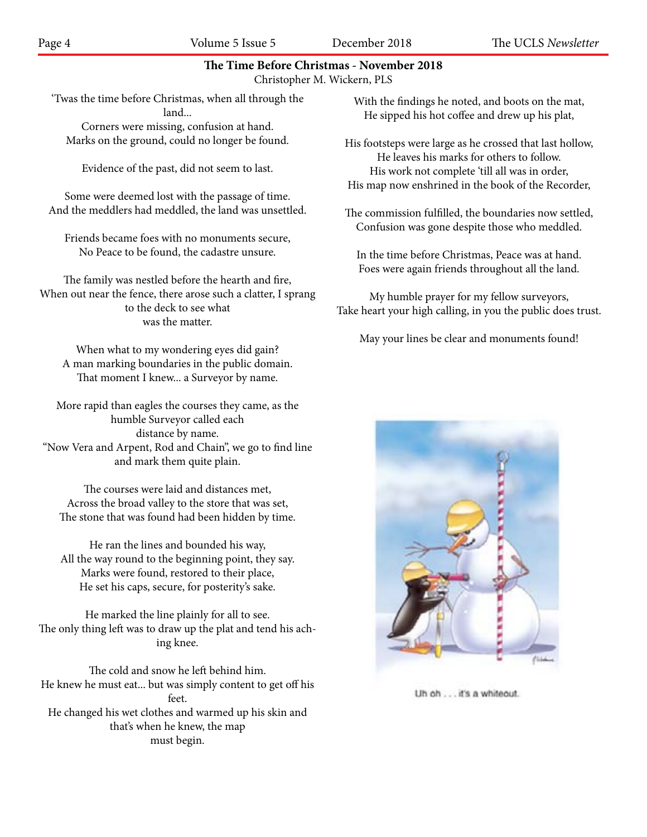#### **The Time Before Christmas - November 2018**

Christopher M. Wickern, PLS

'Twas the time before Christmas, when all through the land...

Corners were missing, confusion at hand. Marks on the ground, could no longer be found.

Evidence of the past, did not seem to last.

Some were deemed lost with the passage of time. And the meddlers had meddled, the land was unsettled.

Friends became foes with no monuments secure, No Peace to be found, the cadastre unsure.

The family was nestled before the hearth and fire, When out near the fence, there arose such a clatter, I sprang to the deck to see what was the matter.

When what to my wondering eyes did gain? A man marking boundaries in the public domain. That moment I knew... a Surveyor by name.

More rapid than eagles the courses they came, as the humble Surveyor called each distance by name. "Now Vera and Arpent, Rod and Chain", we go to find line and mark them quite plain.

The courses were laid and distances met, Across the broad valley to the store that was set, The stone that was found had been hidden by time.

He ran the lines and bounded his way, All the way round to the beginning point, they say. Marks were found, restored to their place, He set his caps, secure, for posterity's sake.

He marked the line plainly for all to see. The only thing left was to draw up the plat and tend his aching knee.

The cold and snow he left behind him. He knew he must eat... but was simply content to get off his feet. He changed his wet clothes and warmed up his skin and that's when he knew, the map must begin.

With the findings he noted, and boots on the mat, He sipped his hot coffee and drew up his plat,

His footsteps were large as he crossed that last hollow, He leaves his marks for others to follow. His work not complete 'till all was in order, His map now enshrined in the book of the Recorder,

The commission fulfilled, the boundaries now settled, Confusion was gone despite those who meddled.

In the time before Christmas, Peace was at hand. Foes were again friends throughout all the land.

My humble prayer for my fellow surveyors, Take heart your high calling, in you the public does trust.

May your lines be clear and monuments found!



Uh oh . . . it's a whiteout.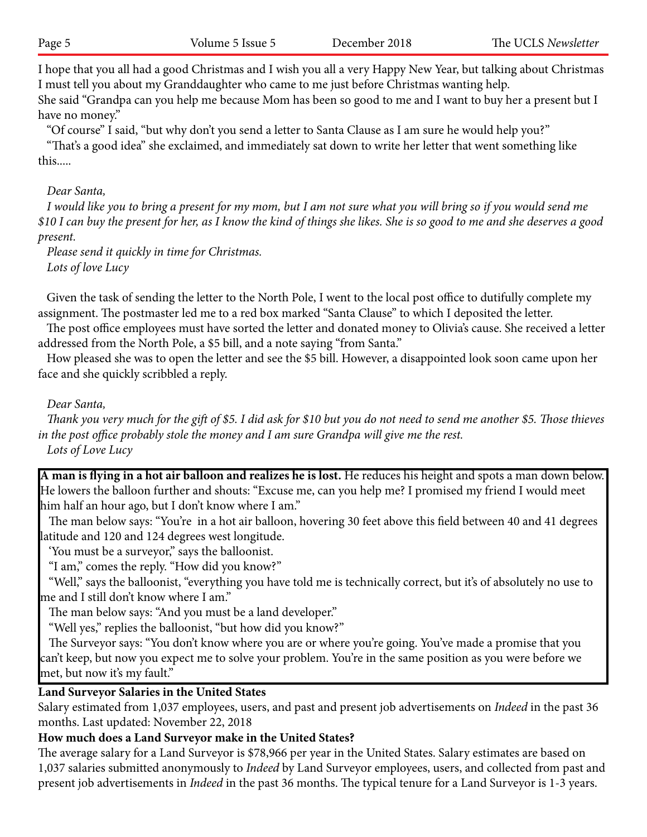I hope that you all had a good Christmas and I wish you all a very Happy New Year, but talking about Christmas I must tell you about my Granddaughter who came to me just before Christmas wanting help.

She said "Grandpa can you help me because Mom has been so good to me and I want to buy her a present but I have no money."

"Of course" I said, "but why don't you send a letter to Santa Clause as I am sure he would help you?"

 "That's a good idea" she exclaimed, and immediately sat down to write her letter that went something like this.....

#### *Dear Santa,*

 *I would like you to bring a present for my mom, but I am not sure what you will bring so if you would send me \$10 I can buy the present for her, as I know the kind of things she likes. She is so good to me and she deserves a good present.*

 *Please send it quickly in time for Christmas. Lots of love Lucy*

 Given the task of sending the letter to the North Pole, I went to the local post office to dutifully complete my assignment. The postmaster led me to a red box marked "Santa Clause" to which I deposited the letter.

 The post office employees must have sorted the letter and donated money to Olivia's cause. She received a letter addressed from the North Pole, a \$5 bill, and a note saying "from Santa."

 How pleased she was to open the letter and see the \$5 bill. However, a disappointed look soon came upon her face and she quickly scribbled a reply.

#### *Dear Santa,*

 *Thank you very much for the gift of \$5. I did ask for \$10 but you do not need to send me another \$5. Those thieves in the post office probably stole the money and I am sure Grandpa will give me the rest. Lots of Love Lucy*

**A man is flying in a hot air balloon and realizes he is lost.** He reduces his height and spots a man down below. He lowers the balloon further and shouts: "Excuse me, can you help me? I promised my friend I would meet him half an hour ago, but I don't know where I am."

 The man below says: "You're in a hot air balloon, hovering 30 feet above this field between 40 and 41 degrees latitude and 120 and 124 degrees west longitude.

'You must be a surveyor," says the balloonist.

"I am," comes the reply. "How did you know?"

 "Well," says the balloonist, "everything you have told me is technically correct, but it's of absolutely no use to me and I still don't know where I am."

The man below says: "And you must be a land developer."

"Well yes," replies the balloonist, "but how did you know?"

 The Surveyor says: "You don't know where you are or where you're going. You've made a promise that you can't keep, but now you expect me to solve your problem. You're in the same position as you were before we met, but now it's my fault."

### **Land Surveyor Salaries in the United States**

Salary estimated from 1,037 employees, users, and past and present job advertisements on *Indeed* in the past 36 months. Last updated: November 22, 2018

### **How much does a Land Surveyor make in the United States?**

The average salary for a Land Surveyor is \$78,966 per year in the United States. Salary estimates are based on 1,037 salaries submitted anonymously to *Indeed* by Land Surveyor employees, users, and collected from past and present job advertisements in *Indeed* in the past 36 months. The typical tenure for a Land Surveyor is 1-3 years.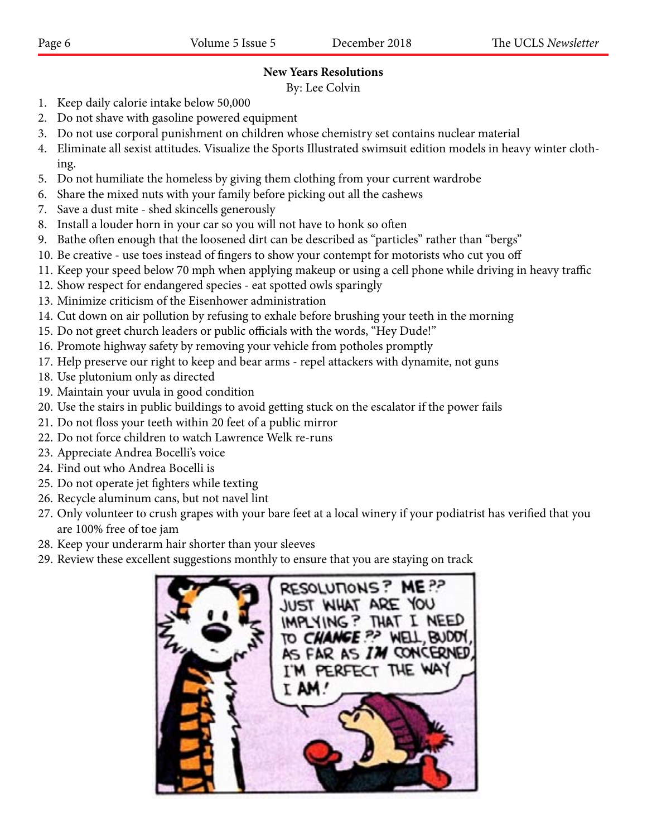#### **New Years Resolutions**

By: Lee Colvin

- 1. Keep daily calorie intake below 50,000
- 2. Do not shave with gasoline powered equipment
- 3. Do not use corporal punishment on children whose chemistry set contains nuclear material
- 4. Eliminate all sexist attitudes. Visualize the Sports Illustrated swimsuit edition models in heavy winter clothing.
- 5. Do not humiliate the homeless by giving them clothing from your current wardrobe
- 6. Share the mixed nuts with your family before picking out all the cashews
- 7. Save a dust mite shed skincells generously
- 8. Install a louder horn in your car so you will not have to honk so often
- 9. Bathe often enough that the loosened dirt can be described as "particles" rather than "bergs"
- 10. Be creative use toes instead of fingers to show your contempt for motorists who cut you off
- 11. Keep your speed below 70 mph when applying makeup or using a cell phone while driving in heavy traffic
- 12. Show respect for endangered species eat spotted owls sparingly
- 13. Minimize criticism of the Eisenhower administration
- 14. Cut down on air pollution by refusing to exhale before brushing your teeth in the morning
- 15. Do not greet church leaders or public officials with the words, "Hey Dude!"
- 16. Promote highway safety by removing your vehicle from potholes promptly
- 17. Help preserve our right to keep and bear arms repel attackers with dynamite, not guns
- 18. Use plutonium only as directed
- 19. Maintain your uvula in good condition
- 20. Use the stairs in public buildings to avoid getting stuck on the escalator if the power fails
- 21. Do not floss your teeth within 20 feet of a public mirror
- 22. Do not force children to watch Lawrence Welk re-runs
- 23. Appreciate Andrea Bocelli's voice
- 24. Find out who Andrea Bocelli is
- 25. Do not operate jet fighters while texting
- 26. Recycle aluminum cans, but not navel lint
- 27. Only volunteer to crush grapes with your bare feet at a local winery if your podiatrist has verified that you are 100% free of toe jam
- 28. Keep your underarm hair shorter than your sleeves
- 29. Review these excellent suggestions monthly to ensure that you are staying on track

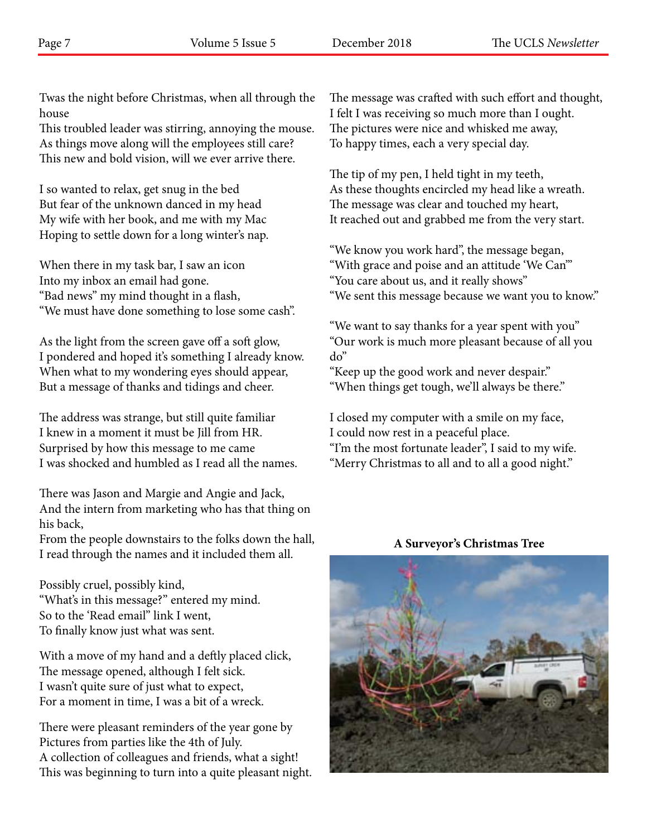Twas the night before Christmas, when all through the house

This troubled leader was stirring, annoying the mouse. As things move along will the employees still care? This new and bold vision, will we ever arrive there.

I so wanted to relax, get snug in the bed But fear of the unknown danced in my head My wife with her book, and me with my Mac Hoping to settle down for a long winter's nap.

When there in my task bar, I saw an icon Into my inbox an email had gone. "Bad news" my mind thought in a flash, "We must have done something to lose some cash".

As the light from the screen gave off a soft glow, I pondered and hoped it's something I already know. When what to my wondering eyes should appear, But a message of thanks and tidings and cheer.

The address was strange, but still quite familiar I knew in a moment it must be Jill from HR. Surprised by how this message to me came I was shocked and humbled as I read all the names.

There was Jason and Margie and Angie and Jack, And the intern from marketing who has that thing on his back,

From the people downstairs to the folks down the hall, I read through the names and it included them all.

Possibly cruel, possibly kind, "What's in this message?" entered my mind. So to the 'Read email" link I went, To finally know just what was sent.

With a move of my hand and a deftly placed click, The message opened, although I felt sick. I wasn't quite sure of just what to expect, For a moment in time, I was a bit of a wreck.

There were pleasant reminders of the year gone by Pictures from parties like the 4th of July. A collection of colleagues and friends, what a sight! This was beginning to turn into a quite pleasant night. The message was crafted with such effort and thought, I felt I was receiving so much more than I ought. The pictures were nice and whisked me away, To happy times, each a very special day.

The tip of my pen, I held tight in my teeth, As these thoughts encircled my head like a wreath. The message was clear and touched my heart, It reached out and grabbed me from the very start.

"We know you work hard", the message began, "With grace and poise and an attitude 'We Can'" "You care about us, and it really shows" "We sent this message because we want you to know."

"We want to say thanks for a year spent with you" "Our work is much more pleasant because of all you do"

"Keep up the good work and never despair." "When things get tough, we'll always be there."

I closed my computer with a smile on my face, I could now rest in a peaceful place. "I'm the most fortunate leader", I said to my wife. "Merry Christmas to all and to all a good night."

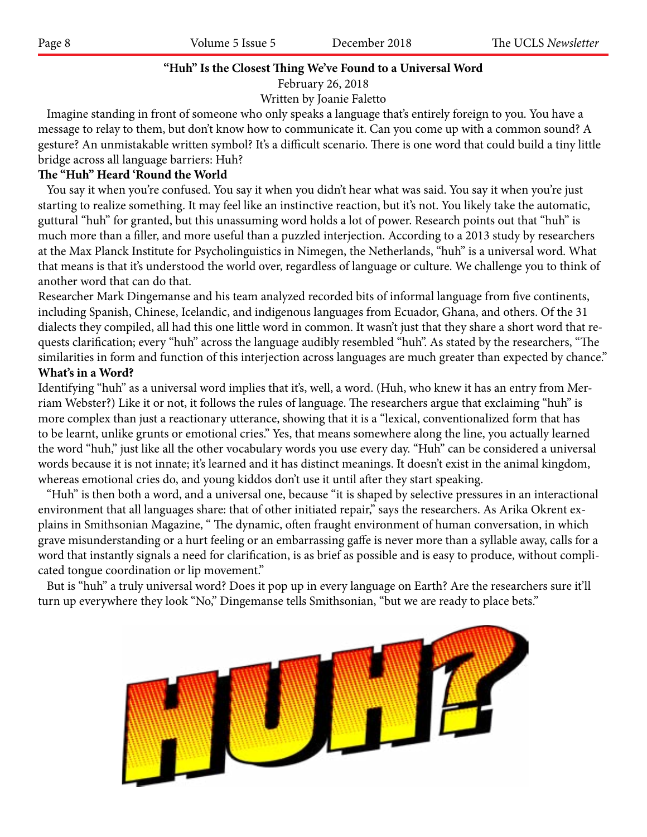#### **"Huh" Is the Closest Thing We've Found to a Universal Word**

February 26, 2018

#### Written by Joanie Faletto

 Imagine standing in front of someone who only speaks a language that's entirely foreign to you. You have a message to relay to them, but don't know how to communicate it. Can you come up with a common sound? A gesture? An unmistakable written symbol? It's a difficult scenario. There is one word that could build a tiny little bridge across all language barriers: Huh?

#### **The "Huh" Heard 'Round the World**

You say it when you're confused. You say it when you didn't hear what was said. You say it when you're just starting to realize something. It may feel like an instinctive reaction, but it's not. You likely take the automatic, guttural "huh" for granted, but this unassuming word holds a lot of power. Research points out that "huh" is much more than a filler, and more useful than a puzzled interjection. According to a 2013 study by researchers at the Max Planck Institute for Psycholinguistics in Nimegen, the Netherlands, "huh" is a universal word. What that means is that it's understood the world over, regardless of language or culture. We challenge you to think of another word that can do that.

Researcher Mark Dingemanse and his team analyzed recorded bits of informal language from five continents, including Spanish, Chinese, Icelandic, and indigenous languages from Ecuador, Ghana, and others. Of the 31 dialects they compiled, all had this one little word in common. It wasn't just that they share a short word that requests clarification; every "huh" across the language audibly resembled "huh". As stated by the researchers, "The similarities in form and function of this interjection across languages are much greater than expected by chance." **What's in a Word?**

Identifying "huh" as a universal word implies that it's, well, a word. (Huh, who knew it has an entry from Merriam Webster?) Like it or not, it follows the rules of language. The researchers argue that exclaiming "huh" is more complex than just a reactionary utterance, showing that it is a "lexical, conventionalized form that has to be learnt, unlike grunts or emotional cries." Yes, that means somewhere along the line, you actually learned the word "huh," just like all the other vocabulary words you use every day. "Huh" can be considered a universal words because it is not innate; it's learned and it has distinct meanings. It doesn't exist in the animal kingdom, whereas emotional cries do, and young kiddos don't use it until after they start speaking.

 "Huh" is then both a word, and a universal one, because "it is shaped by selective pressures in an interactional environment that all languages share: that of other initiated repair," says the researchers. As Arika Okrent explains in Smithsonian Magazine, " The dynamic, often fraught environment of human conversation, in which grave misunderstanding or a hurt feeling or an embarrassing gaffe is never more than a syllable away, calls for a word that instantly signals a need for clarification, is as brief as possible and is easy to produce, without complicated tongue coordination or lip movement."

 But is "huh" a truly universal word? Does it pop up in every language on Earth? Are the researchers sure it'll turn up everywhere they look "No," Dingemanse tells Smithsonian, "but we are ready to place bets."

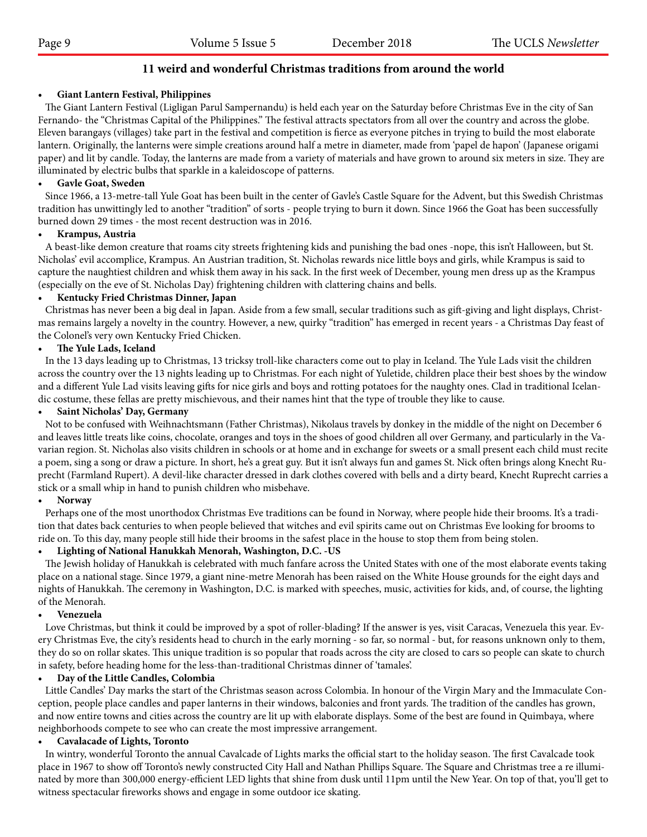#### **11 weird and wonderful Christmas traditions from around the world**

#### **• Giant Lantern Festival, Philippines**

 The Giant Lantern Festival (Ligligan Parul Sampernandu) is held each year on the Saturday before Christmas Eve in the city of San Fernando- the "Christmas Capital of the Philippines." The festival attracts spectators from all over the country and across the globe. Eleven barangays (villages) take part in the festival and competition is fierce as everyone pitches in trying to build the most elaborate lantern. Originally, the lanterns were simple creations around half a metre in diameter, made from 'papel de hapon' (Japanese origami paper) and lit by candle. Today, the lanterns are made from a variety of materials and have grown to around six meters in size. They are illuminated by electric bulbs that sparkle in a kaleidoscope of patterns.

#### **Gavle Goat, Sweden**

 Since 1966, a 13-metre-tall Yule Goat has been built in the center of Gavle's Castle Square for the Advent, but this Swedish Christmas tradition has unwittingly led to another "tradition" of sorts - people trying to burn it down. Since 1966 the Goat has been successfully burned down 29 times - the most recent destruction was in 2016.

#### **• Krampus, Austria**

 A beast-like demon creature that roams city streets frightening kids and punishing the bad ones -nope, this isn't Halloween, but St. Nicholas' evil accomplice, Krampus. An Austrian tradition, St. Nicholas rewards nice little boys and girls, while Krampus is said to capture the naughtiest children and whisk them away in his sack. In the first week of December, young men dress up as the Krampus (especially on the eve of St. Nicholas Day) frightening children with clattering chains and bells.

#### **• Kentucky Fried Christmas Dinner, Japan**

 Christmas has never been a big deal in Japan. Aside from a few small, secular traditions such as gift-giving and light displays, Christmas remains largely a novelty in the country. However, a new, quirky "tradition" has emerged in recent years - a Christmas Day feast of the Colonel's very own Kentucky Fried Chicken.

#### **• The Yule Lads, Iceland**

 In the 13 days leading up to Christmas, 13 tricksy troll-like characters come out to play in Iceland. The Yule Lads visit the children across the country over the 13 nights leading up to Christmas. For each night of Yuletide, children place their best shoes by the window and a different Yule Lad visits leaving gifts for nice girls and boys and rotting potatoes for the naughty ones. Clad in traditional Icelandic costume, these fellas are pretty mischievous, and their names hint that the type of trouble they like to cause.

#### **Saint Nicholas' Day, Germany**

 Not to be confused with Weihnachtsmann (Father Christmas), Nikolaus travels by donkey in the middle of the night on December 6 and leaves little treats like coins, chocolate, oranges and toys in the shoes of good children all over Germany, and particularly in the Vavarian region. St. Nicholas also visits children in schools or at home and in exchange for sweets or a small present each child must recite a poem, sing a song or draw a picture. In short, he's a great guy. But it isn't always fun and games St. Nick often brings along Knecht Ruprecht (Farmland Rupert). A devil-like character dressed in dark clothes covered with bells and a dirty beard, Knecht Ruprecht carries a stick or a small whip in hand to punish children who misbehave.

#### **• Norway**

Perhaps one of the most unorthodox Christmas Eve traditions can be found in Norway, where people hide their brooms. It's a tradition that dates back centuries to when people believed that witches and evil spirits came out on Christmas Eve looking for brooms to ride on. To this day, many people still hide their brooms in the safest place in the house to stop them from being stolen.

#### **• Lighting of National Hanukkah Menorah, Washington, D.C. -US**

 The Jewish holiday of Hanukkah is celebrated with much fanfare across the United States with one of the most elaborate events taking place on a national stage. Since 1979, a giant nine-metre Menorah has been raised on the White House grounds for the eight days and nights of Hanukkah. The ceremony in Washington, D.C. is marked with speeches, music, activities for kids, and, of course, the lighting of the Menorah.

#### **• Venezuela**

 Love Christmas, but think it could be improved by a spot of roller-blading? If the answer is yes, visit Caracas, Venezuela this year. Every Christmas Eve, the city's residents head to church in the early morning - so far, so normal - but, for reasons unknown only to them, they do so on rollar skates. This unique tradition is so popular that roads across the city are closed to cars so people can skate to church in safety, before heading home for the less-than-traditional Christmas dinner of 'tamales'.

#### **• Day of the Little Candles, Colombia**

 Little Candles' Day marks the start of the Christmas season across Colombia. In honour of the Virgin Mary and the Immaculate Conception, people place candles and paper lanterns in their windows, balconies and front yards. The tradition of the candles has grown, and now entire towns and cities across the country are lit up with elaborate displays. Some of the best are found in Quimbaya, where neighborhoods compete to see who can create the most impressive arrangement.

#### **• Cavalacade of Lights, Toronto**

 In wintry, wonderful Toronto the annual Cavalcade of Lights marks the official start to the holiday season. The first Cavalcade took place in 1967 to show off Toronto's newly constructed City Hall and Nathan Phillips Square. The Square and Christmas tree a re illuminated by more than 300,000 energy-efficient LED lights that shine from dusk until 11pm until the New Year. On top of that, you'll get to witness spectacular fireworks shows and engage in some outdoor ice skating.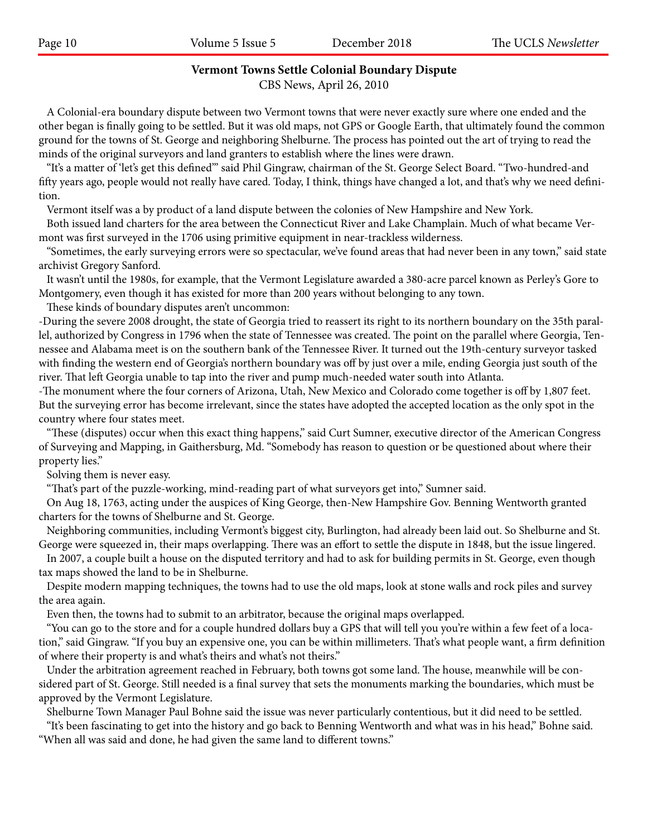#### **Vermont Towns Settle Colonial Boundary Dispute**

CBS News, April 26, 2010

 A Colonial-era boundary dispute between two Vermont towns that were never exactly sure where one ended and the other began is finally going to be settled. But it was old maps, not GPS or Google Earth, that ultimately found the common ground for the towns of St. George and neighboring Shelburne. The process has pointed out the art of trying to read the minds of the original surveyors and land granters to establish where the lines were drawn.

 "It's a matter of 'let's get this defined'" said Phil Gingraw, chairman of the St. George Select Board. "Two-hundred-and fifty years ago, people would not really have cared. Today, I think, things have changed a lot, and that's why we need definition.

Vermont itself was a by product of a land dispute between the colonies of New Hampshire and New York.

 Both issued land charters for the area between the Connecticut River and Lake Champlain. Much of what became Vermont was first surveyed in the 1706 using primitive equipment in near-trackless wilderness.

 "Sometimes, the early surveying errors were so spectacular, we've found areas that had never been in any town," said state archivist Gregory Sanford.

 It wasn't until the 1980s, for example, that the Vermont Legislature awarded a 380-acre parcel known as Perley's Gore to Montgomery, even though it has existed for more than 200 years without belonging to any town.

These kinds of boundary disputes aren't uncommon:

-During the severe 2008 drought, the state of Georgia tried to reassert its right to its northern boundary on the 35th parallel, authorized by Congress in 1796 when the state of Tennessee was created. The point on the parallel where Georgia, Tennessee and Alabama meet is on the southern bank of the Tennessee River. It turned out the 19th-century surveyor tasked with finding the western end of Georgia's northern boundary was off by just over a mile, ending Georgia just south of the river. That left Georgia unable to tap into the river and pump much-needed water south into Atlanta.

-The monument where the four corners of Arizona, Utah, New Mexico and Colorado come together is off by 1,807 feet. But the surveying error has become irrelevant, since the states have adopted the accepted location as the only spot in the country where four states meet.

 "These (disputes) occur when this exact thing happens," said Curt Sumner, executive director of the American Congress of Surveying and Mapping, in Gaithersburg, Md. "Somebody has reason to question or be questioned about where their property lies."

Solving them is never easy.

"That's part of the puzzle-working, mind-reading part of what surveyors get into," Sumner said.

 On Aug 18, 1763, acting under the auspices of King George, then-New Hampshire Gov. Benning Wentworth granted charters for the towns of Shelburne and St. George.

 Neighboring communities, including Vermont's biggest city, Burlington, had already been laid out. So Shelburne and St. George were squeezed in, their maps overlapping. There was an effort to settle the dispute in 1848, but the issue lingered.

 In 2007, a couple built a house on the disputed territory and had to ask for building permits in St. George, even though tax maps showed the land to be in Shelburne.

 Despite modern mapping techniques, the towns had to use the old maps, look at stone walls and rock piles and survey the area again.

Even then, the towns had to submit to an arbitrator, because the original maps overlapped.

 "You can go to the store and for a couple hundred dollars buy a GPS that will tell you you're within a few feet of a location," said Gingraw. "If you buy an expensive one, you can be within millimeters. That's what people want, a firm definition of where their property is and what's theirs and what's not theirs."

 Under the arbitration agreement reached in February, both towns got some land. The house, meanwhile will be considered part of St. George. Still needed is a final survey that sets the monuments marking the boundaries, which must be approved by the Vermont Legislature.

Shelburne Town Manager Paul Bohne said the issue was never particularly contentious, but it did need to be settled.

 "It's been fascinating to get into the history and go back to Benning Wentworth and what was in his head," Bohne said. "When all was said and done, he had given the same land to different towns."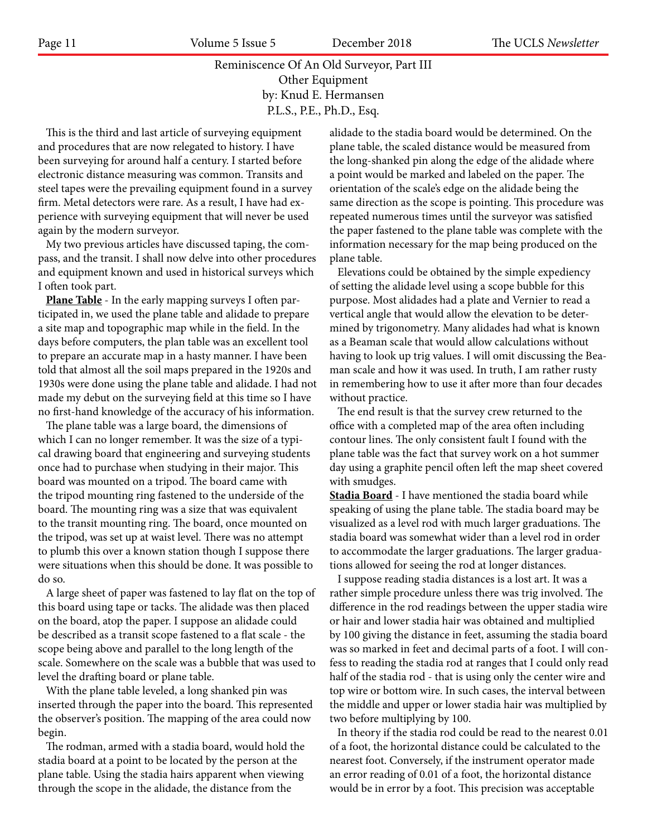Reminiscence Of An Old Surveyor, Part III Other Equipment by: Knud E. Hermansen P.L.S., P.E., Ph.D., Esq.

 This is the third and last article of surveying equipment and procedures that are now relegated to history. I have been surveying for around half a century. I started before electronic distance measuring was common. Transits and steel tapes were the prevailing equipment found in a survey firm. Metal detectors were rare. As a result, I have had experience with surveying equipment that will never be used again by the modern surveyor.

 My two previous articles have discussed taping, the compass, and the transit. I shall now delve into other procedures and equipment known and used in historical surveys which I often took part.

 **Plane Table** - In the early mapping surveys I often participated in, we used the plane table and alidade to prepare a site map and topographic map while in the field. In the days before computers, the plan table was an excellent tool to prepare an accurate map in a hasty manner. I have been told that almost all the soil maps prepared in the 1920s and 1930s were done using the plane table and alidade. I had not made my debut on the surveying field at this time so I have no first-hand knowledge of the accuracy of his information.

 The plane table was a large board, the dimensions of which I can no longer remember. It was the size of a typical drawing board that engineering and surveying students once had to purchase when studying in their major. This board was mounted on a tripod. The board came with the tripod mounting ring fastened to the underside of the board. The mounting ring was a size that was equivalent to the transit mounting ring. The board, once mounted on the tripod, was set up at waist level. There was no attempt to plumb this over a known station though I suppose there were situations when this should be done. It was possible to do so.

 A large sheet of paper was fastened to lay flat on the top of this board using tape or tacks. The alidade was then placed on the board, atop the paper. I suppose an alidade could be described as a transit scope fastened to a flat scale - the scope being above and parallel to the long length of the scale. Somewhere on the scale was a bubble that was used to level the drafting board or plane table.

 With the plane table leveled, a long shanked pin was inserted through the paper into the board. This represented the observer's position. The mapping of the area could now begin.

 The rodman, armed with a stadia board, would hold the stadia board at a point to be located by the person at the plane table. Using the stadia hairs apparent when viewing through the scope in the alidade, the distance from the

alidade to the stadia board would be determined. On the plane table, the scaled distance would be measured from the long-shanked pin along the edge of the alidade where a point would be marked and labeled on the paper. The orientation of the scale's edge on the alidade being the same direction as the scope is pointing. This procedure was repeated numerous times until the surveyor was satisfied the paper fastened to the plane table was complete with the information necessary for the map being produced on the plane table.

 Elevations could be obtained by the simple expediency of setting the alidade level using a scope bubble for this purpose. Most alidades had a plate and Vernier to read a vertical angle that would allow the elevation to be determined by trigonometry. Many alidades had what is known as a Beaman scale that would allow calculations without having to look up trig values. I will omit discussing the Beaman scale and how it was used. In truth, I am rather rusty in remembering how to use it after more than four decades without practice.

 The end result is that the survey crew returned to the office with a completed map of the area often including contour lines. The only consistent fault I found with the plane table was the fact that survey work on a hot summer day using a graphite pencil often left the map sheet covered with smudges.

**Stadia Board** - I have mentioned the stadia board while speaking of using the plane table. The stadia board may be visualized as a level rod with much larger graduations. The stadia board was somewhat wider than a level rod in order to accommodate the larger graduations. The larger graduations allowed for seeing the rod at longer distances.

 I suppose reading stadia distances is a lost art. It was a rather simple procedure unless there was trig involved. The difference in the rod readings between the upper stadia wire or hair and lower stadia hair was obtained and multiplied by 100 giving the distance in feet, assuming the stadia board was so marked in feet and decimal parts of a foot. I will confess to reading the stadia rod at ranges that I could only read half of the stadia rod - that is using only the center wire and top wire or bottom wire. In such cases, the interval between the middle and upper or lower stadia hair was multiplied by two before multiplying by 100.

 In theory if the stadia rod could be read to the nearest 0.01 of a foot, the horizontal distance could be calculated to the nearest foot. Conversely, if the instrument operator made an error reading of 0.01 of a foot, the horizontal distance would be in error by a foot. This precision was acceptable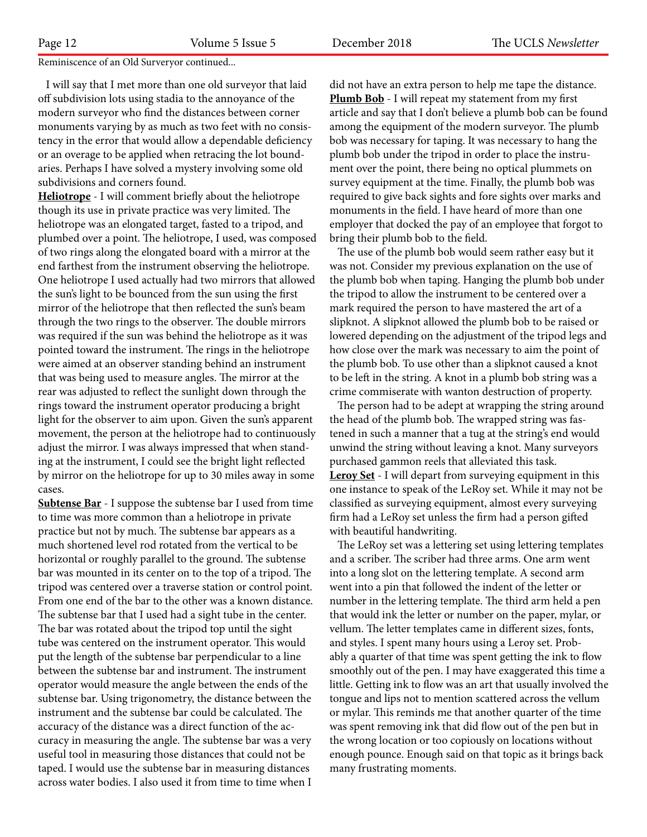Reminiscence of an Old Surveryor continued...

 I will say that I met more than one old surveyor that laid off subdivision lots using stadia to the annoyance of the modern surveyor who find the distances between corner monuments varying by as much as two feet with no consistency in the error that would allow a dependable deficiency or an overage to be applied when retracing the lot boundaries. Perhaps I have solved a mystery involving some old subdivisions and corners found.

**Heliotrope** - I will comment briefly about the heliotrope though its use in private practice was very limited. The heliotrope was an elongated target, fasted to a tripod, and plumbed over a point. The heliotrope, I used, was composed of two rings along the elongated board with a mirror at the end farthest from the instrument observing the heliotrope. One heliotrope I used actually had two mirrors that allowed the sun's light to be bounced from the sun using the first mirror of the heliotrope that then reflected the sun's beam through the two rings to the observer. The double mirrors was required if the sun was behind the heliotrope as it was pointed toward the instrument. The rings in the heliotrope were aimed at an observer standing behind an instrument that was being used to measure angles. The mirror at the rear was adjusted to reflect the sunlight down through the rings toward the instrument operator producing a bright light for the observer to aim upon. Given the sun's apparent movement, the person at the heliotrope had to continuously adjust the mirror. I was always impressed that when standing at the instrument, I could see the bright light reflected by mirror on the heliotrope for up to 30 miles away in some cases.

**Subtense Bar** - I suppose the subtense bar I used from time to time was more common than a heliotrope in private practice but not by much. The subtense bar appears as a much shortened level rod rotated from the vertical to be horizontal or roughly parallel to the ground. The subtense bar was mounted in its center on to the top of a tripod. The tripod was centered over a traverse station or control point. From one end of the bar to the other was a known distance. The subtense bar that I used had a sight tube in the center. The bar was rotated about the tripod top until the sight tube was centered on the instrument operator. This would put the length of the subtense bar perpendicular to a line between the subtense bar and instrument. The instrument operator would measure the angle between the ends of the subtense bar. Using trigonometry, the distance between the instrument and the subtense bar could be calculated. The accuracy of the distance was a direct function of the accuracy in measuring the angle. The subtense bar was a very useful tool in measuring those distances that could not be taped. I would use the subtense bar in measuring distances across water bodies. I also used it from time to time when I

did not have an extra person to help me tape the distance. **Plumb Bob** - I will repeat my statement from my first article and say that I don't believe a plumb bob can be found among the equipment of the modern surveyor. The plumb bob was necessary for taping. It was necessary to hang the plumb bob under the tripod in order to place the instrument over the point, there being no optical plummets on survey equipment at the time. Finally, the plumb bob was required to give back sights and fore sights over marks and monuments in the field. I have heard of more than one employer that docked the pay of an employee that forgot to bring their plumb bob to the field.

 The use of the plumb bob would seem rather easy but it was not. Consider my previous explanation on the use of the plumb bob when taping. Hanging the plumb bob under the tripod to allow the instrument to be centered over a mark required the person to have mastered the art of a slipknot. A slipknot allowed the plumb bob to be raised or lowered depending on the adjustment of the tripod legs and how close over the mark was necessary to aim the point of the plumb bob. To use other than a slipknot caused a knot to be left in the string. A knot in a plumb bob string was a crime commiserate with wanton destruction of property.

 The person had to be adept at wrapping the string around the head of the plumb bob. The wrapped string was fastened in such a manner that a tug at the string's end would unwind the string without leaving a knot. Many surveyors purchased gammon reels that alleviated this task. **Leroy Set** - I will depart from surveying equipment in this one instance to speak of the LeRoy set. While it may not be classified as surveying equipment, almost every surveying firm had a LeRoy set unless the firm had a person gifted with beautiful handwriting.

 The LeRoy set was a lettering set using lettering templates and a scriber. The scriber had three arms. One arm went into a long slot on the lettering template. A second arm went into a pin that followed the indent of the letter or number in the lettering template. The third arm held a pen that would ink the letter or number on the paper, mylar, or vellum. The letter templates came in different sizes, fonts, and styles. I spent many hours using a Leroy set. Probably a quarter of that time was spent getting the ink to flow smoothly out of the pen. I may have exaggerated this time a little. Getting ink to flow was an art that usually involved the tongue and lips not to mention scattered across the vellum or mylar. This reminds me that another quarter of the time was spent removing ink that did flow out of the pen but in the wrong location or too copiously on locations without enough pounce. Enough said on that topic as it brings back many frustrating moments.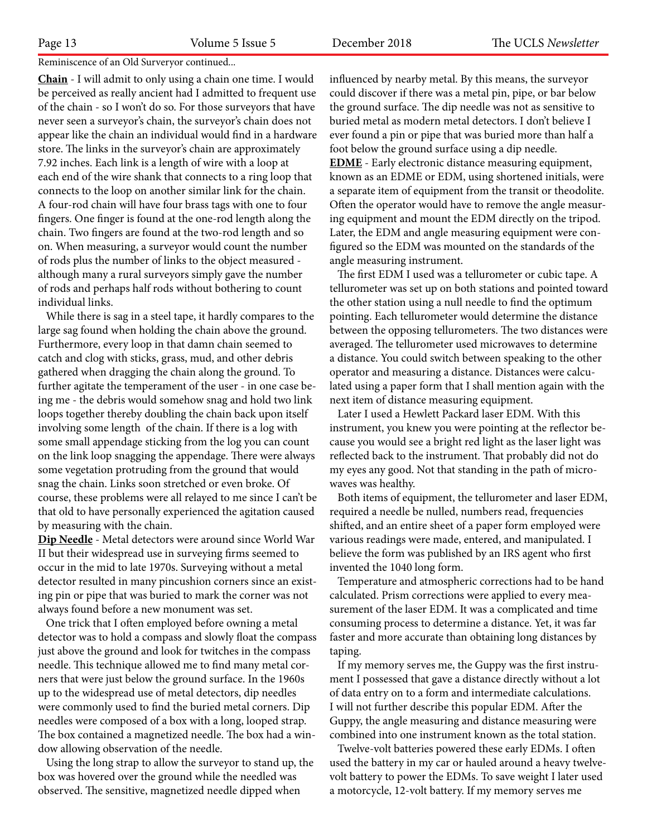Reminiscence of an Old Surveryor continued...

**Chain** - I will admit to only using a chain one time. I would be perceived as really ancient had I admitted to frequent use of the chain - so I won't do so. For those surveyors that have never seen a surveyor's chain, the surveyor's chain does not appear like the chain an individual would find in a hardware store. The links in the surveyor's chain are approximately 7.92 inches. Each link is a length of wire with a loop at each end of the wire shank that connects to a ring loop that connects to the loop on another similar link for the chain. A four-rod chain will have four brass tags with one to four fingers. One finger is found at the one-rod length along the chain. Two fingers are found at the two-rod length and so on. When measuring, a surveyor would count the number of rods plus the number of links to the object measured although many a rural surveyors simply gave the number of rods and perhaps half rods without bothering to count individual links.

 While there is sag in a steel tape, it hardly compares to the large sag found when holding the chain above the ground. Furthermore, every loop in that damn chain seemed to catch and clog with sticks, grass, mud, and other debris gathered when dragging the chain along the ground. To further agitate the temperament of the user - in one case being me - the debris would somehow snag and hold two link loops together thereby doubling the chain back upon itself involving some length of the chain. If there is a log with some small appendage sticking from the log you can count on the link loop snagging the appendage. There were always some vegetation protruding from the ground that would snag the chain. Links soon stretched or even broke. Of course, these problems were all relayed to me since I can't be that old to have personally experienced the agitation caused by measuring with the chain.

**Dip Needle** - Metal detectors were around since World War II but their widespread use in surveying firms seemed to occur in the mid to late 1970s. Surveying without a metal detector resulted in many pincushion corners since an existing pin or pipe that was buried to mark the corner was not always found before a new monument was set.

 One trick that I often employed before owning a metal detector was to hold a compass and slowly float the compass just above the ground and look for twitches in the compass needle. This technique allowed me to find many metal corners that were just below the ground surface. In the 1960s up to the widespread use of metal detectors, dip needles were commonly used to find the buried metal corners. Dip needles were composed of a box with a long, looped strap. The box contained a magnetized needle. The box had a window allowing observation of the needle.

 Using the long strap to allow the surveyor to stand up, the box was hovered over the ground while the needled was observed. The sensitive, magnetized needle dipped when

influenced by nearby metal. By this means, the surveyor could discover if there was a metal pin, pipe, or bar below the ground surface. The dip needle was not as sensitive to buried metal as modern metal detectors. I don't believe I ever found a pin or pipe that was buried more than half a foot below the ground surface using a dip needle. **EDME** - Early electronic distance measuring equipment, known as an EDME or EDM, using shortened initials, were a separate item of equipment from the transit or theodolite. Often the operator would have to remove the angle measuring equipment and mount the EDM directly on the tripod. Later, the EDM and angle measuring equipment were configured so the EDM was mounted on the standards of the angle measuring instrument.

 The first EDM I used was a tellurometer or cubic tape. A tellurometer was set up on both stations and pointed toward the other station using a null needle to find the optimum pointing. Each tellurometer would determine the distance between the opposing tellurometers. The two distances were averaged. The tellurometer used microwaves to determine a distance. You could switch between speaking to the other operator and measuring a distance. Distances were calculated using a paper form that I shall mention again with the next item of distance measuring equipment.

 Later I used a Hewlett Packard laser EDM. With this instrument, you knew you were pointing at the reflector because you would see a bright red light as the laser light was reflected back to the instrument. That probably did not do my eyes any good. Not that standing in the path of microwaves was healthy.

 Both items of equipment, the tellurometer and laser EDM, required a needle be nulled, numbers read, frequencies shifted, and an entire sheet of a paper form employed were various readings were made, entered, and manipulated. I believe the form was published by an IRS agent who first invented the 1040 long form.

 Temperature and atmospheric corrections had to be hand calculated. Prism corrections were applied to every measurement of the laser EDM. It was a complicated and time consuming process to determine a distance. Yet, it was far faster and more accurate than obtaining long distances by taping.

 If my memory serves me, the Guppy was the first instrument I possessed that gave a distance directly without a lot of data entry on to a form and intermediate calculations. I will not further describe this popular EDM. After the Guppy, the angle measuring and distance measuring were combined into one instrument known as the total station.

 Twelve-volt batteries powered these early EDMs. I often used the battery in my car or hauled around a heavy twelvevolt battery to power the EDMs. To save weight I later used a motorcycle, 12-volt battery. If my memory serves me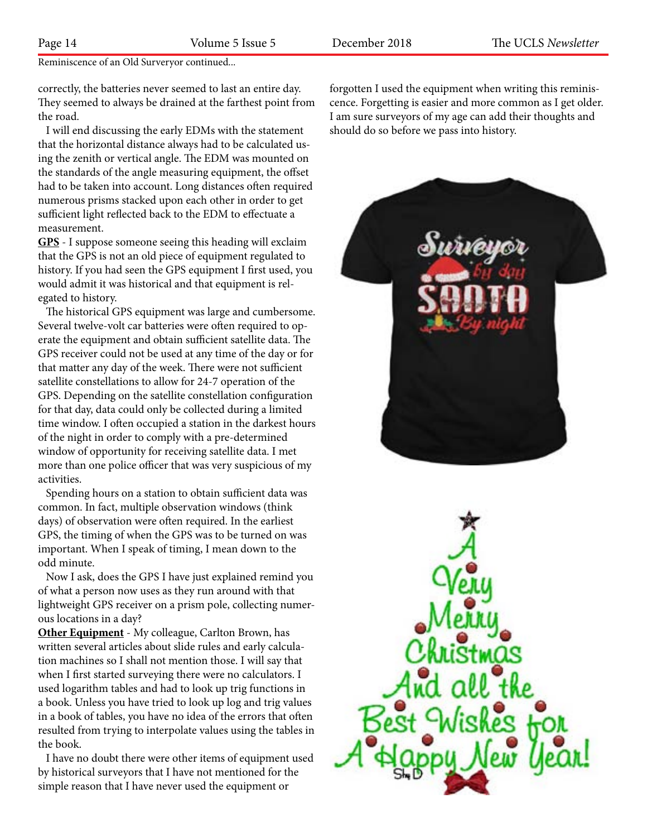Reminiscence of an Old Surveryor continued...

correctly, the batteries never seemed to last an entire day. They seemed to always be drained at the farthest point from the road.

 I will end discussing the early EDMs with the statement that the horizontal distance always had to be calculated using the zenith or vertical angle. The EDM was mounted on the standards of the angle measuring equipment, the offset had to be taken into account. Long distances often required numerous prisms stacked upon each other in order to get sufficient light reflected back to the EDM to effectuate a measurement.

**GPS** - I suppose someone seeing this heading will exclaim that the GPS is not an old piece of equipment regulated to history. If you had seen the GPS equipment I first used, you would admit it was historical and that equipment is relegated to history.

 The historical GPS equipment was large and cumbersome. Several twelve-volt car batteries were often required to operate the equipment and obtain sufficient satellite data. The GPS receiver could not be used at any time of the day or for that matter any day of the week. There were not sufficient satellite constellations to allow for 24-7 operation of the GPS. Depending on the satellite constellation configuration for that day, data could only be collected during a limited time window. I often occupied a station in the darkest hours of the night in order to comply with a pre-determined window of opportunity for receiving satellite data. I met more than one police officer that was very suspicious of my activities.

 Spending hours on a station to obtain sufficient data was common. In fact, multiple observation windows (think days) of observation were often required. In the earliest GPS, the timing of when the GPS was to be turned on was important. When I speak of timing, I mean down to the odd minute.

 Now I ask, does the GPS I have just explained remind you of what a person now uses as they run around with that lightweight GPS receiver on a prism pole, collecting numerous locations in a day?

**Other Equipment** - My colleague, Carlton Brown, has written several articles about slide rules and early calculation machines so I shall not mention those. I will say that when I first started surveying there were no calculators. I used logarithm tables and had to look up trig functions in a book. Unless you have tried to look up log and trig values in a book of tables, you have no idea of the errors that often resulted from trying to interpolate values using the tables in the book.

 I have no doubt there were other items of equipment used by historical surveyors that I have not mentioned for the simple reason that I have never used the equipment or

forgotten I used the equipment when writing this reminiscence. Forgetting is easier and more common as I get older. I am sure surveyors of my age can add their thoughts and should do so before we pass into history.



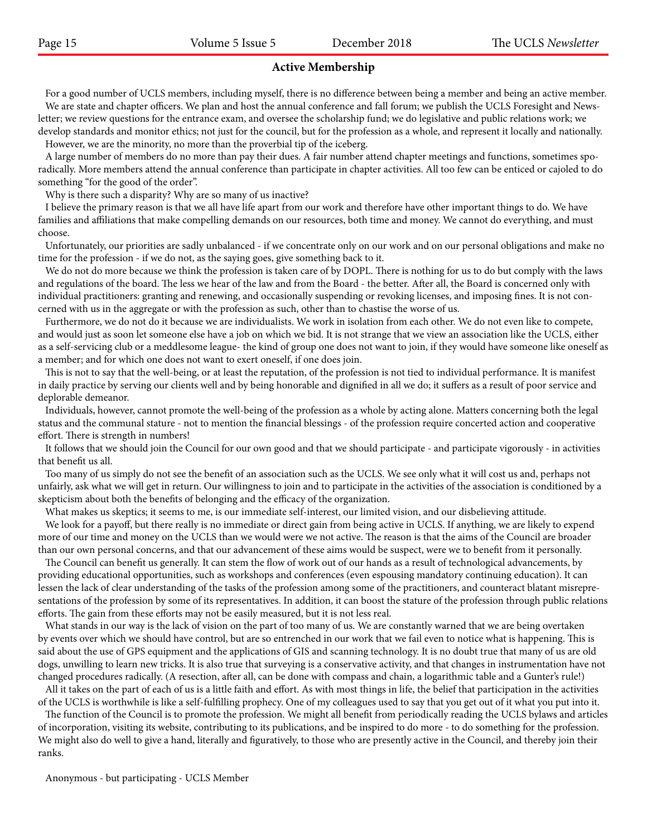#### **Active Membership**

 For a good number of UCLS members, including myself, there is no difference between being a member and being an active member. We are state and chapter officers. We plan and host the annual conference and fall forum; we publish the UCLS Foresight and Newsletter; we review questions for the entrance exam, and oversee the scholarship fund; we do legislative and public relations work; we develop standards and monitor ethics; not just for the council, but for the profession as a whole, and represent it locally and nationally. However, we are the minority, no more than the proverbial tip of the iceberg.

 A large number of members do no more than pay their dues. A fair number attend chapter meetings and functions, sometimes sporadically. More members attend the annual conference than participate in chapter activities. All too few can be enticed or cajoled to do something "for the good of the order".

Why is there such a disparity? Why are so many of us inactive?

 I believe the primary reason is that we all have life apart from our work and therefore have other important things to do. We have families and affiliations that make compelling demands on our resources, both time and money. We cannot do everything, and must choose.

 Unfortunately, our priorities are sadly unbalanced - if we concentrate only on our work and on our personal obligations and make no time for the profession - if we do not, as the saying goes, give something back to it.

 We do not do more because we think the profession is taken care of by DOPL. There is nothing for us to do but comply with the laws and regulations of the board. The less we hear of the law and from the Board - the better. After all, the Board is concerned only with individual practitioners: granting and renewing, and occasionally suspending or revoking licenses, and imposing fines. It is not concerned with us in the aggregate or with the profession as such, other than to chastise the worse of us.

 Furthermore, we do not do it because we are individualists. We work in isolation from each other. We do not even like to compete, and would just as soon let someone else have a job on which we bid. It is not strange that we view an association like the UCLS, either as a self-servicing club or a meddlesome league- the kind of group one does not want to join, if they would have someone like oneself as a member; and for which one does not want to exert oneself, if one does join.

 This is not to say that the well-being, or at least the reputation, of the profession is not tied to individual performance. It is manifest in daily practice by serving our clients well and by being honorable and dignified in all we do; it suffers as a result of poor service and deplorable demeanor.

 Individuals, however, cannot promote the well-being of the profession as a whole by acting alone. Matters concerning both the legal status and the communal stature - not to mention the financial blessings - of the profession require concerted action and cooperative effort. There is strength in numbers!

 It follows that we should join the Council for our own good and that we should participate - and participate vigorously - in activities that benefit us all.

 Too many of us simply do not see the benefit of an association such as the UCLS. We see only what it will cost us and, perhaps not unfairly, ask what we will get in return. Our willingness to join and to participate in the activities of the association is conditioned by a skepticism about both the benefits of belonging and the efficacy of the organization.

What makes us skeptics; it seems to me, is our immediate self-interest, our limited vision, and our disbelieving attitude.

 We look for a payoff, but there really is no immediate or direct gain from being active in UCLS. If anything, we are likely to expend more of our time and money on the UCLS than we would were we not active. The reason is that the aims of the Council are broader than our own personal concerns, and that our advancement of these aims would be suspect, were we to benefit from it personally.

 The Council can benefit us generally. It can stem the flow of work out of our hands as a result of technological advancements, by providing educational opportunities, such as workshops and conferences (even espousing mandatory continuing education). It can lessen the lack of clear understanding of the tasks of the profession among some of the practitioners, and counteract blatant misrepresentations of the profession by some of its representatives. In addition, it can boost the stature of the profession through public relations efforts. The gain from these efforts may not be easily measured, but it is not less real.

 What stands in our way is the lack of vision on the part of too many of us. We are constantly warned that we are being overtaken by events over which we should have control, but are so entrenched in our work that we fail even to notice what is happening. This is said about the use of GPS equipment and the applications of GIS and scanning technology. It is no doubt true that many of us are old dogs, unwilling to learn new tricks. It is also true that surveying is a conservative activity, and that changes in instrumentation have not changed procedures radically. (A resection, after all, can be done with compass and chain, a logarithmic table and a Gunter's rule!)

 All it takes on the part of each of us is a little faith and effort. As with most things in life, the belief that participation in the activities of the UCLS is worthwhile is like a self-fulfilling prophecy. One of my colleagues used to say that you get out of it what you put into it.

 The function of the Council is to promote the profession. We might all benefit from periodically reading the UCLS bylaws and articles of incorporation, visiting its website, contributing to its publications, and be inspired to do more - to do something for the profession. We might also do well to give a hand, literally and figuratively, to those who are presently active in the Council, and thereby join their ranks.

Anonymous - but participating - UCLS Member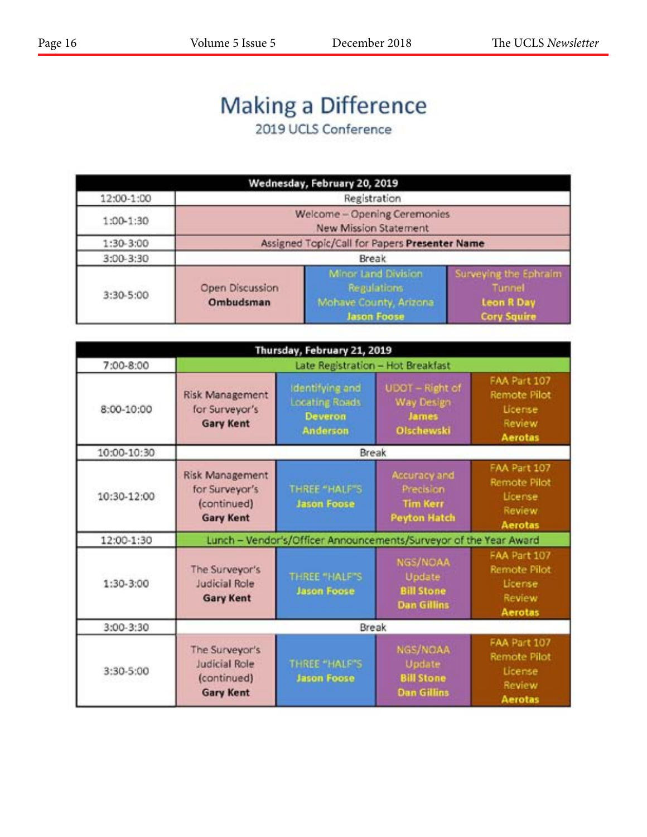# Making a Difference

2019 UCLS Conference

|            |                                                              | Wednesday, February 20, 2019                                                |                                                                     |  |
|------------|--------------------------------------------------------------|-----------------------------------------------------------------------------|---------------------------------------------------------------------|--|
| 12:00-1:00 | Registration                                                 |                                                                             |                                                                     |  |
| 1:00-1:30  | Welcome - Opening Ceremonies<br><b>New Mission Statement</b> |                                                                             |                                                                     |  |
| 1:30-3:00  | Assigned Topic/Call for Papers Presenter Name                |                                                                             |                                                                     |  |
| 3:00-3:30  | Break                                                        |                                                                             |                                                                     |  |
| 3:30-5:00  | Open Discussion<br>Ombudsman                                 | Minor Land Division<br>Regulations<br>Mohave County, Arizona<br>Jason Foose | Surveying the Ephraim<br>Tunnel<br>Leon R Day<br><b>Cory Squire</b> |  |

| Thursday, February 21, 2019 |                                                                      |                                                                               |                                                                     |                                                                            |  |  |
|-----------------------------|----------------------------------------------------------------------|-------------------------------------------------------------------------------|---------------------------------------------------------------------|----------------------------------------------------------------------------|--|--|
| 7:00-8:00                   | Late Registration - Hot Breakfast                                    |                                                                               |                                                                     |                                                                            |  |  |
| 8:00-10:00                  | Risk Management<br>for Surveyor's<br><b>Gary Kent</b>                | <b>Identifying and</b><br><b>Locating Roads</b><br>Deveron<br><b>Anderson</b> | UDOT - Right of<br>Way Design<br><b>James</b><br><b>Olschewski</b>  | FAA Part 107<br>Remote Pilot<br>License<br>Review<br><b>Aerotas</b>        |  |  |
| 10:00-10:30                 | Break                                                                |                                                                               |                                                                     |                                                                            |  |  |
| 10:30-12:00                 | Risk Management<br>for Surveyor's<br>(continued)<br><b>Gary Kent</b> | THREE "HALF"S<br><b>Jason Foose</b>                                           | Accuracy and<br>Precision<br><b>Tim Kerr</b><br><b>Peyton Hatch</b> | FAA Part 107<br><b>Remote Pilot</b><br>License<br>Review<br><b>Aerotas</b> |  |  |
| 12:00-1:30                  | Lunch - Vendor's/Officer Announcements/Surveyor of the Year Award    |                                                                               |                                                                     |                                                                            |  |  |
| 1:30-3:00                   | The Surveyor's<br><b>Judicial Role</b><br><b>Gary Kent</b>           | <b>THREE "HALF"S</b><br><b>Jason Foose</b>                                    | NGS/NOAA<br>Update<br><b>Bill Stone</b><br><b>Dan Gillins</b>       | FAA Part 107<br><b>Remote Pilot</b><br>License<br>Review<br>Aerotas        |  |  |
| 3:00-3:30                   | Break                                                                |                                                                               |                                                                     |                                                                            |  |  |
| 3:30-5:00                   | The Surveyor's<br>Judicial Role<br>(continued)<br><b>Gary Kent</b>   | THREE "HALF"S<br><b>Jason Foose</b>                                           | NGS/NOAA<br>Update<br><b>Bill Stone</b><br><b>Dan Gillins</b>       | FAA Part 107<br><b>Remote Pilot</b><br>License<br>Review<br><b>Aerotas</b> |  |  |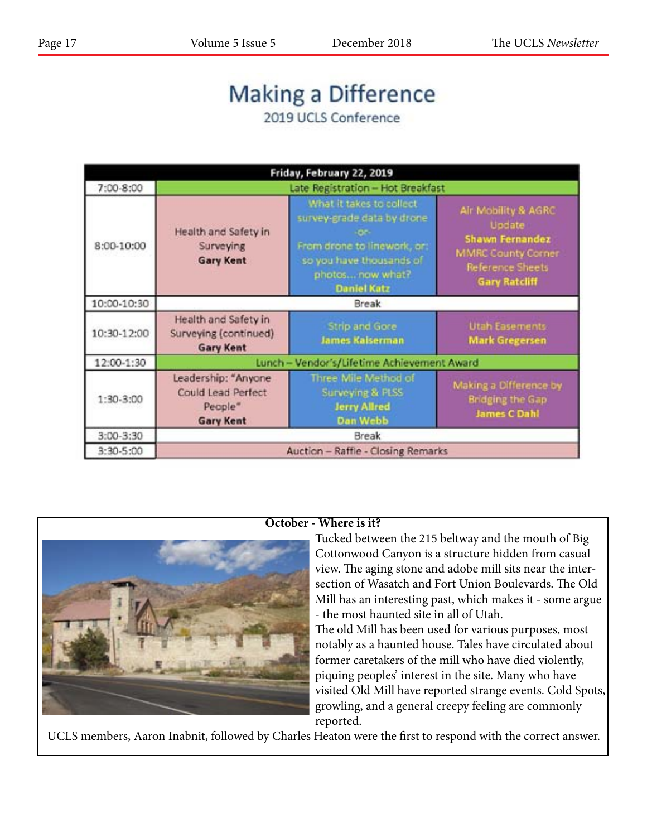## Making a Difference

2019 UCLS Conference

| Friday, February 22, 2019 |                                                                                      |                                                                                                                                                                       |                                                                                                                                   |  |  |  |
|---------------------------|--------------------------------------------------------------------------------------|-----------------------------------------------------------------------------------------------------------------------------------------------------------------------|-----------------------------------------------------------------------------------------------------------------------------------|--|--|--|
| 7:00-8:00                 | Late Registration - Hot Breakfast                                                    |                                                                                                                                                                       |                                                                                                                                   |  |  |  |
| 8:00-10:00                | Health and Safety in<br>Surveying<br><b>Gary Kent</b>                                | What it takes to collect<br>survey-grade data by drone<br>$-0 -$<br>From drone to linework, or:<br>so you have thousands of<br>photos now what?<br><b>Daniel Katz</b> | Air Mobility & AGRC<br>Update:<br><b>Shawn Fernandez</b><br><b>MMRC County Corner</b><br>Reference Sheets<br><b>Gary Ratcliff</b> |  |  |  |
| 10:00-10:30               | <b>Break</b>                                                                         |                                                                                                                                                                       |                                                                                                                                   |  |  |  |
| 10:30-12:00               | Health and Safety in<br>Surveying (continued)<br><b>Gary Kent</b>                    | <b>Strip and Gore</b><br><b>James Kalserman</b>                                                                                                                       | <b>Utah Easements</b><br><b>Mark Gregersen</b>                                                                                    |  |  |  |
| 12:00-1:30                | Lunch - Vendor's/Lifetime Achievement Award                                          |                                                                                                                                                                       |                                                                                                                                   |  |  |  |
| 1:30-3:00                 | Leadership: "Anyone<br>Could Lead Perfect<br>People <sup>*</sup><br><b>Gary Kent</b> | Three Mile Method of<br><b>Surveying &amp; PLSS</b><br><b>Jerry Allred</b><br><b>Dan Webb</b>                                                                         | Making a Difference by<br><b>Bridging the Gap</b><br>James C Dahl                                                                 |  |  |  |
| 3:00-3:30                 | <b>Break</b>                                                                         |                                                                                                                                                                       |                                                                                                                                   |  |  |  |
| 3:30-5:00                 | Auction - Raffle - Closing Remarks                                                   |                                                                                                                                                                       |                                                                                                                                   |  |  |  |



#### **October - Where is it?**

 Tucked between the 215 beltway and the mouth of Big Cottonwood Canyon is a structure hidden from casual view. The aging stone and adobe mill sits near the intersection of Wasatch and Fort Union Boulevards. The Old Mill has an interesting past, which makes it - some argue - the most haunted site in all of Utah.

 The old Mill has been used for various purposes, most notably as a haunted house. Tales have circulated about former caretakers of the mill who have died violently, piquing peoples' interest in the site. Many who have visited Old Mill have reported strange events. Cold Spots, growling, and a general creepy feeling are commonly reported.

UCLS members, Aaron Inabnit, followed by Charles Heaton were the first to respond with the correct answer.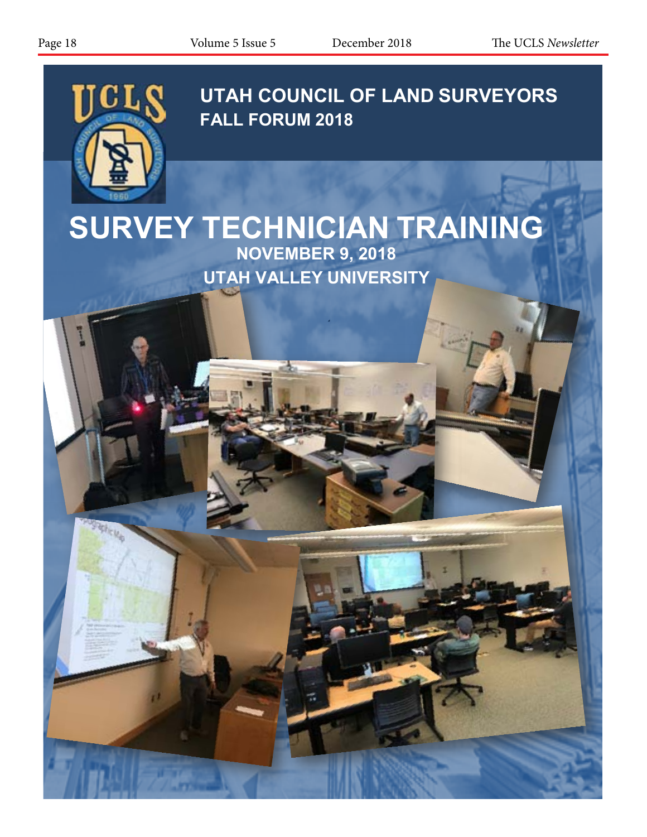

### **UTAH COUNCIL OF LAND SURVEYORS FALL FORUM 2018**

## **SURVEY TECHNICIAN TRAINING NOVEMBER 9, 2018 UTAH VALLEY UNIVERSITY**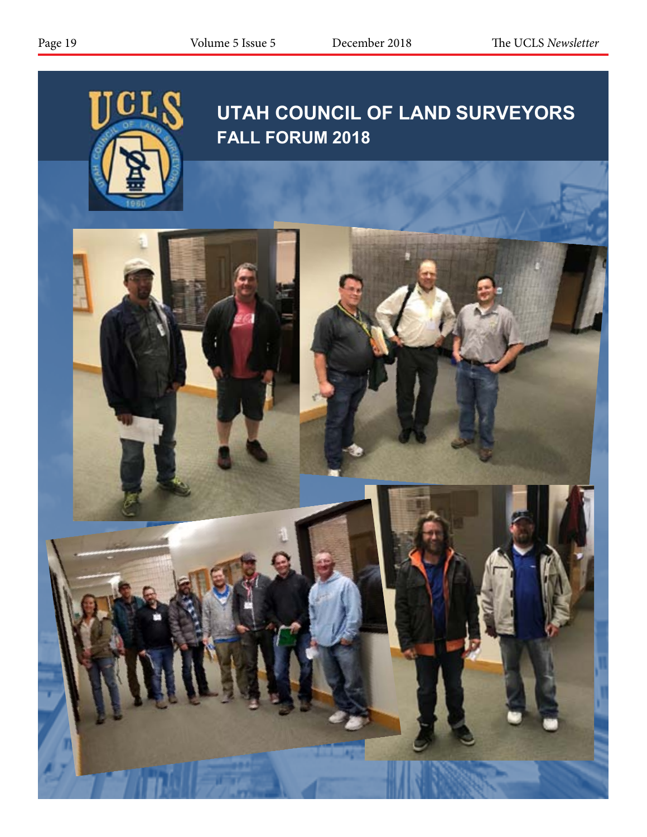